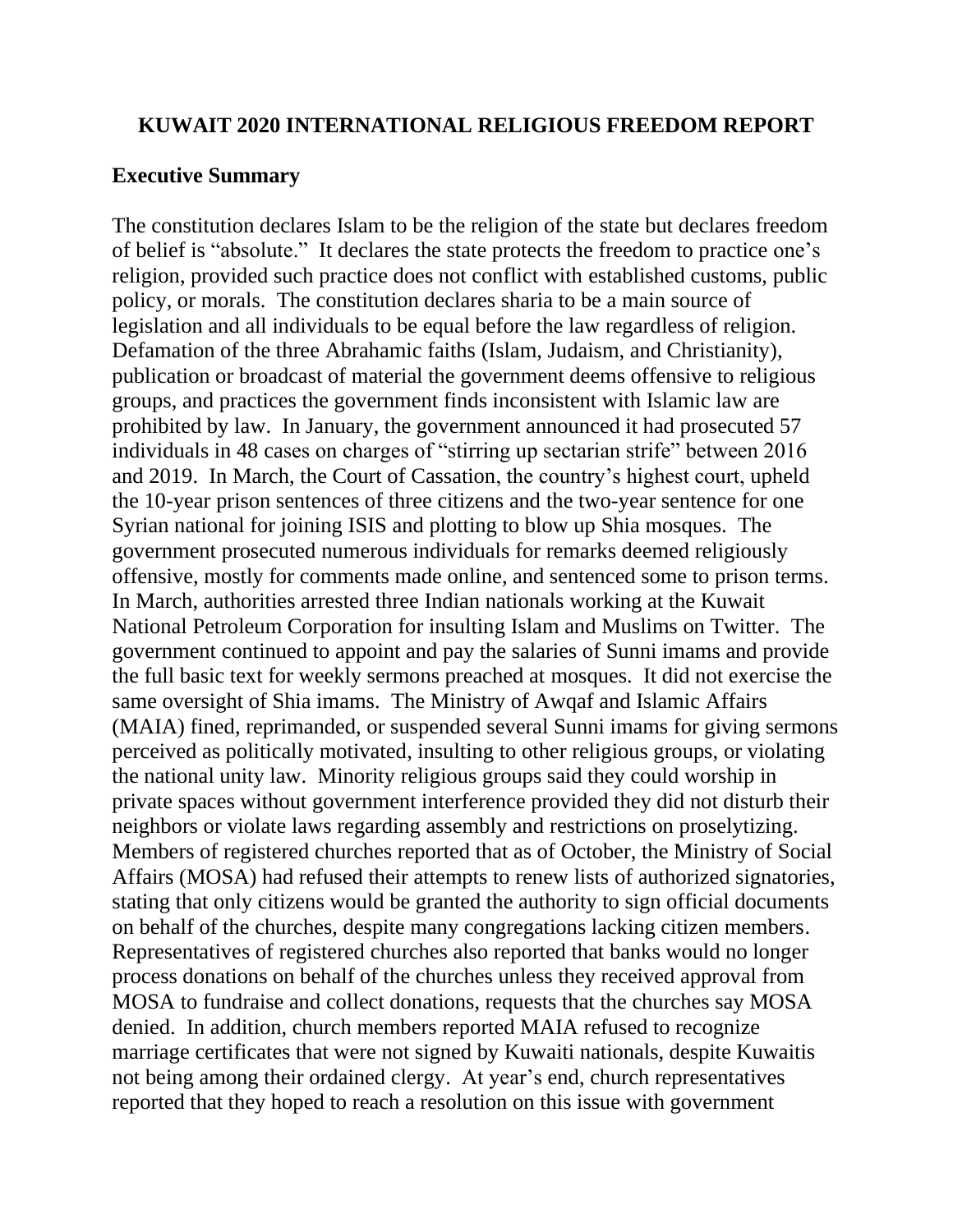### **KUWAIT 2020 INTERNATIONAL RELIGIOUS FREEDOM REPORT**

#### **Executive Summary**

The constitution declares Islam to be the religion of the state but declares freedom of belief is "absolute." It declares the state protects the freedom to practice one's religion, provided such practice does not conflict with established customs, public policy, or morals. The constitution declares sharia to be a main source of legislation and all individuals to be equal before the law regardless of religion. Defamation of the three Abrahamic faiths (Islam, Judaism, and Christianity), publication or broadcast of material the government deems offensive to religious groups, and practices the government finds inconsistent with Islamic law are prohibited by law. In January, the government announced it had prosecuted 57 individuals in 48 cases on charges of "stirring up sectarian strife" between 2016 and 2019. In March, the Court of Cassation, the country's highest court, upheld the 10-year prison sentences of three citizens and the two-year sentence for one Syrian national for joining ISIS and plotting to blow up Shia mosques. The government prosecuted numerous individuals for remarks deemed religiously offensive, mostly for comments made online, and sentenced some to prison terms. In March, authorities arrested three Indian nationals working at the Kuwait National Petroleum Corporation for insulting Islam and Muslims on Twitter. The government continued to appoint and pay the salaries of Sunni imams and provide the full basic text for weekly sermons preached at mosques. It did not exercise the same oversight of Shia imams. The Ministry of Awqaf and Islamic Affairs (MAIA) fined, reprimanded, or suspended several Sunni imams for giving sermons perceived as politically motivated, insulting to other religious groups, or violating the national unity law. Minority religious groups said they could worship in private spaces without government interference provided they did not disturb their neighbors or violate laws regarding assembly and restrictions on proselytizing. Members of registered churches reported that as of October, the Ministry of Social Affairs (MOSA) had refused their attempts to renew lists of authorized signatories, stating that only citizens would be granted the authority to sign official documents on behalf of the churches, despite many congregations lacking citizen members. Representatives of registered churches also reported that banks would no longer process donations on behalf of the churches unless they received approval from MOSA to fundraise and collect donations, requests that the churches say MOSA denied. In addition, church members reported MAIA refused to recognize marriage certificates that were not signed by Kuwaiti nationals, despite Kuwaitis not being among their ordained clergy. At year's end, church representatives reported that they hoped to reach a resolution on this issue with government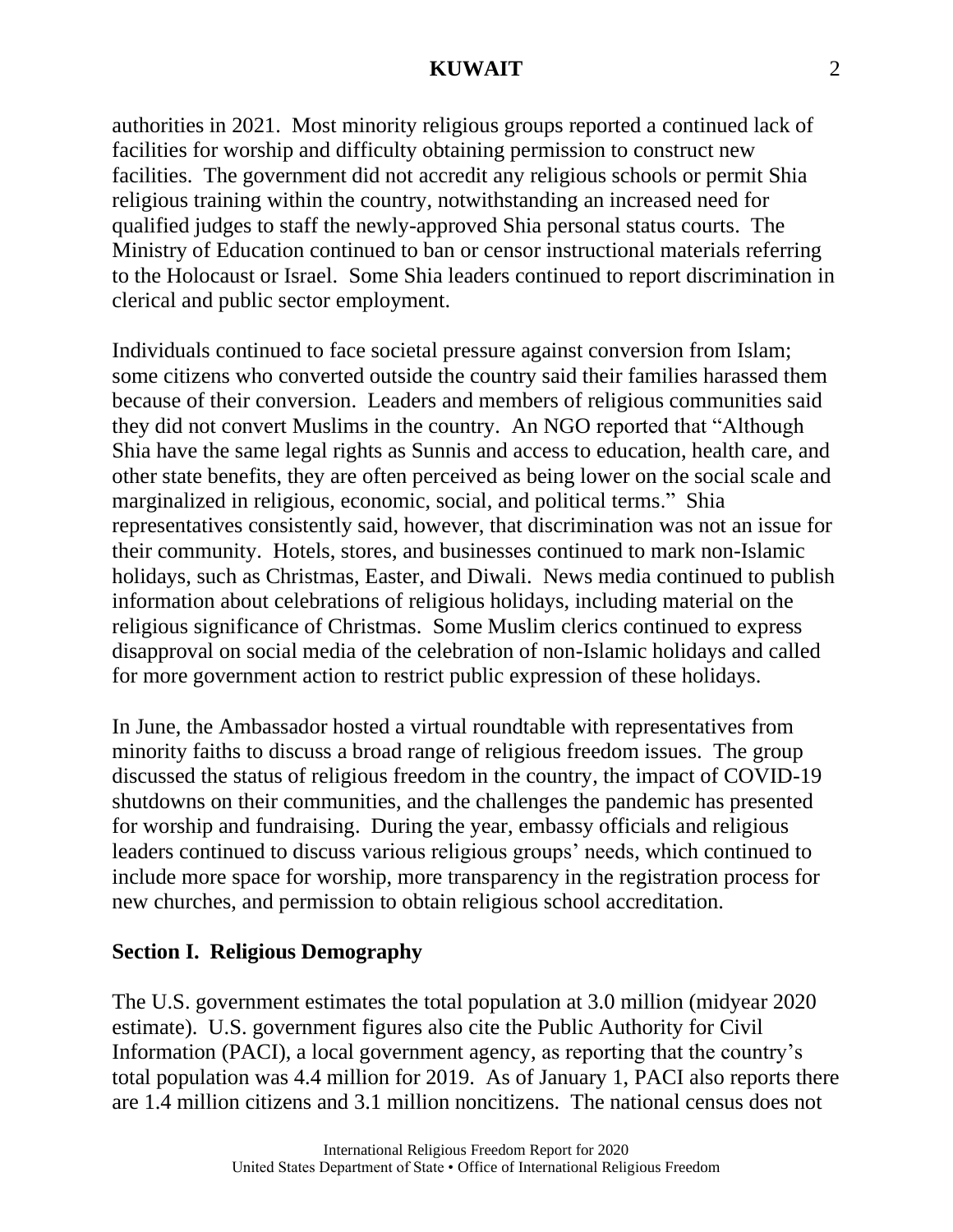authorities in 2021. Most minority religious groups reported a continued lack of facilities for worship and difficulty obtaining permission to construct new facilities. The government did not accredit any religious schools or permit Shia religious training within the country, notwithstanding an increased need for qualified judges to staff the newly-approved Shia personal status courts. The Ministry of Education continued to ban or censor instructional materials referring to the Holocaust or Israel. Some Shia leaders continued to report discrimination in clerical and public sector employment.

Individuals continued to face societal pressure against conversion from Islam; some citizens who converted outside the country said their families harassed them because of their conversion. Leaders and members of religious communities said they did not convert Muslims in the country. An NGO reported that "Although Shia have the same legal rights as Sunnis and access to education, health care, and other state benefits, they are often perceived as being lower on the social scale and marginalized in religious, economic, social, and political terms." Shia representatives consistently said, however, that discrimination was not an issue for their community. Hotels, stores, and businesses continued to mark non-Islamic holidays, such as Christmas, Easter, and Diwali. News media continued to publish information about celebrations of religious holidays, including material on the religious significance of Christmas. Some Muslim clerics continued to express disapproval on social media of the celebration of non-Islamic holidays and called for more government action to restrict public expression of these holidays.

In June, the Ambassador hosted a virtual roundtable with representatives from minority faiths to discuss a broad range of religious freedom issues. The group discussed the status of religious freedom in the country, the impact of COVID-19 shutdowns on their communities, and the challenges the pandemic has presented for worship and fundraising. During the year, embassy officials and religious leaders continued to discuss various religious groups' needs, which continued to include more space for worship, more transparency in the registration process for new churches, and permission to obtain religious school accreditation.

## **Section I. Religious Demography**

The U.S. government estimates the total population at 3.0 million (midyear 2020 estimate). U.S. government figures also cite the Public Authority for Civil Information (PACI), a local government agency, as reporting that the country's total population was 4.4 million for 2019. As of January 1, PACI also reports there are 1.4 million citizens and 3.1 million noncitizens. The national census does not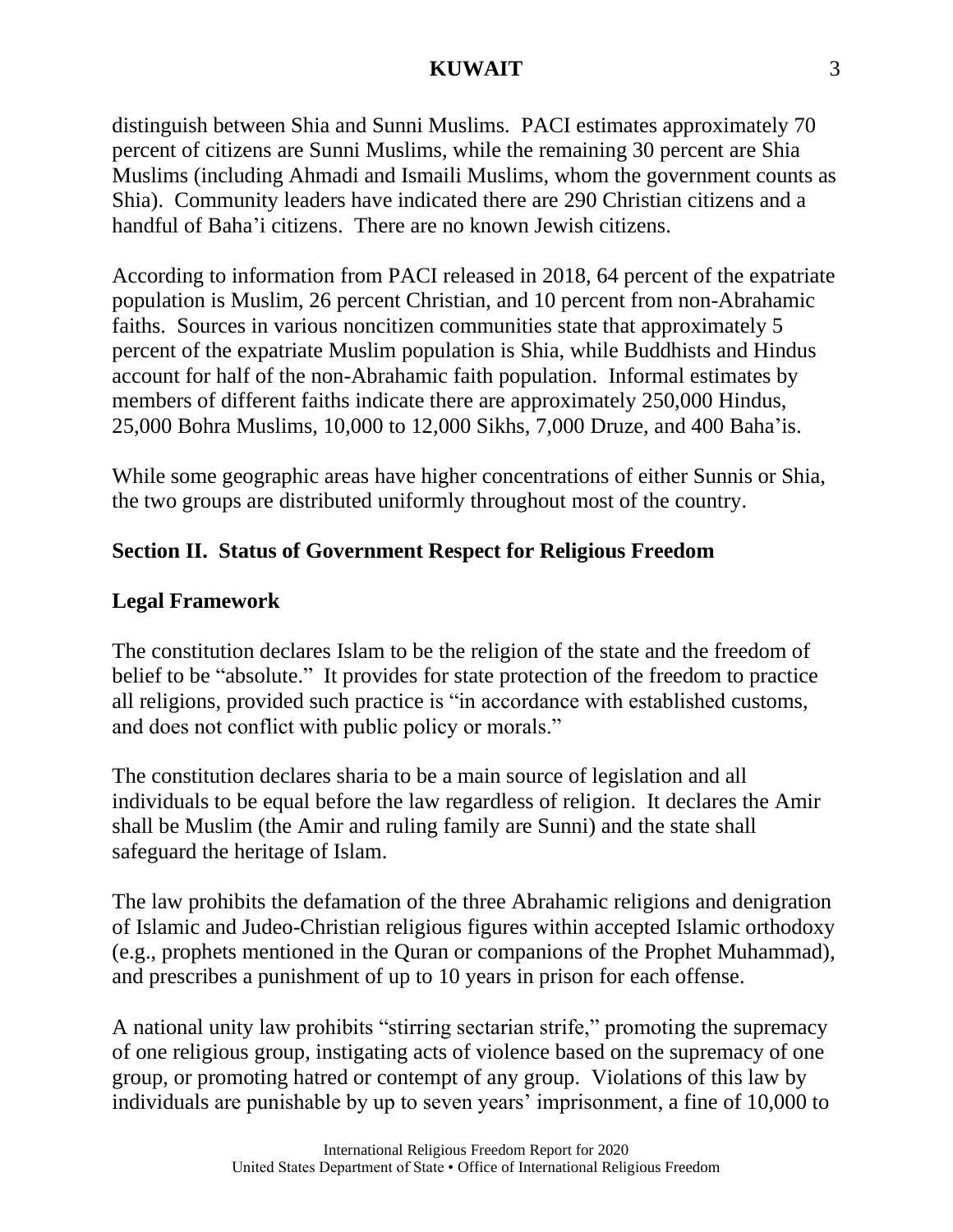distinguish between Shia and Sunni Muslims. PACI estimates approximately 70 percent of citizens are Sunni Muslims, while the remaining 30 percent are Shia Muslims (including Ahmadi and Ismaili Muslims, whom the government counts as Shia). Community leaders have indicated there are 290 Christian citizens and a handful of Baha'i citizens. There are no known Jewish citizens.

According to information from PACI released in 2018, 64 percent of the expatriate population is Muslim, 26 percent Christian, and 10 percent from non-Abrahamic faiths. Sources in various noncitizen communities state that approximately 5 percent of the expatriate Muslim population is Shia, while Buddhists and Hindus account for half of the non-Abrahamic faith population. Informal estimates by members of different faiths indicate there are approximately 250,000 Hindus, 25,000 Bohra Muslims, 10,000 to 12,000 Sikhs, 7,000 Druze, and 400 Baha'is.

While some geographic areas have higher concentrations of either Sunnis or Shia, the two groups are distributed uniformly throughout most of the country.

## **Section II. Status of Government Respect for Religious Freedom**

## **Legal Framework**

The constitution declares Islam to be the religion of the state and the freedom of belief to be "absolute." It provides for state protection of the freedom to practice all religions, provided such practice is "in accordance with established customs, and does not conflict with public policy or morals."

The constitution declares sharia to be a main source of legislation and all individuals to be equal before the law regardless of religion. It declares the Amir shall be Muslim (the Amir and ruling family are Sunni) and the state shall safeguard the heritage of Islam.

The law prohibits the defamation of the three Abrahamic religions and denigration of Islamic and Judeo-Christian religious figures within accepted Islamic orthodoxy (e.g., prophets mentioned in the Quran or companions of the Prophet Muhammad), and prescribes a punishment of up to 10 years in prison for each offense.

A national unity law prohibits "stirring sectarian strife," promoting the supremacy of one religious group, instigating acts of violence based on the supremacy of one group, or promoting hatred or contempt of any group. Violations of this law by individuals are punishable by up to seven years' imprisonment, a fine of 10,000 to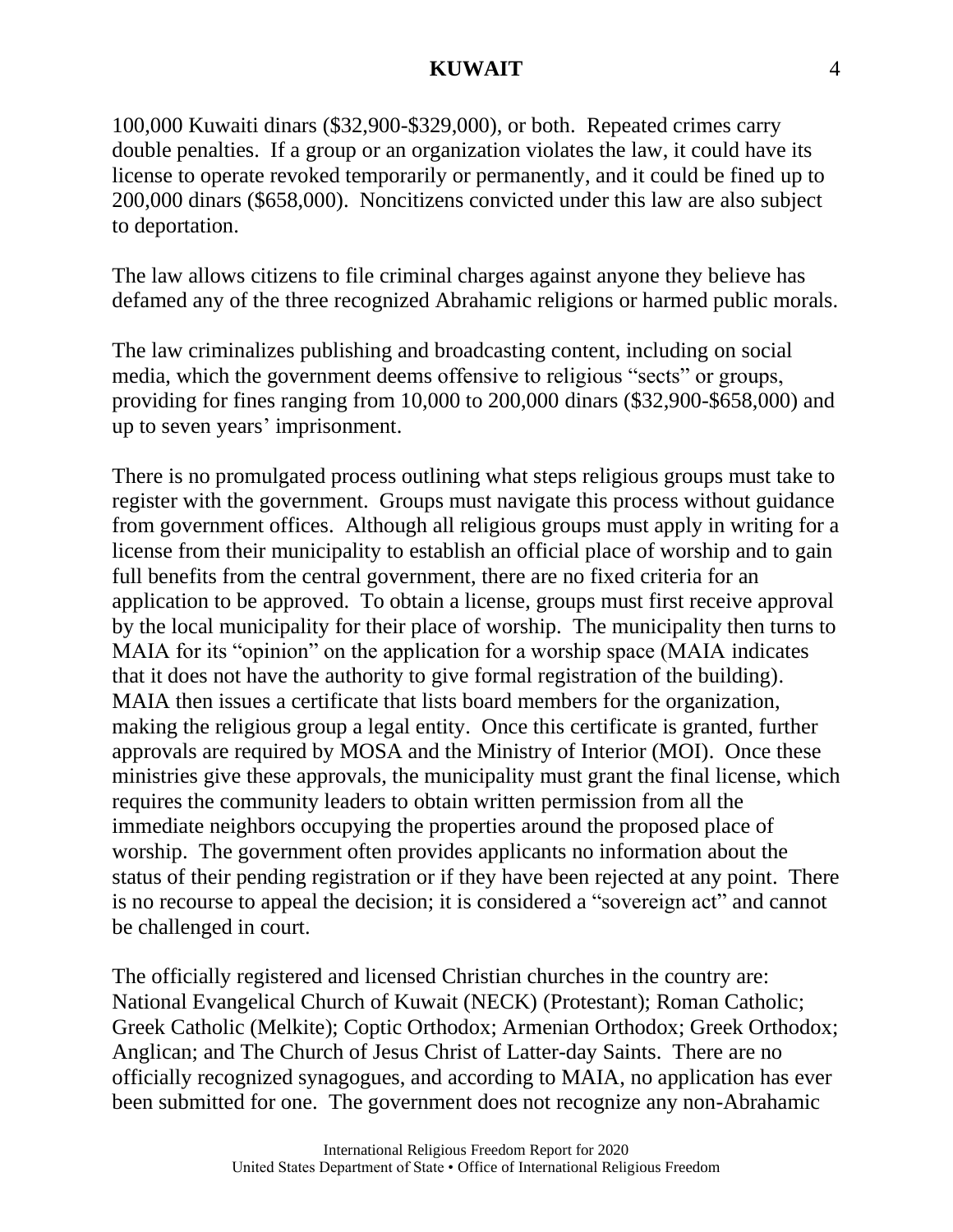100,000 Kuwaiti dinars (\$32,900-\$329,000), or both. Repeated crimes carry double penalties. If a group or an organization violates the law, it could have its license to operate revoked temporarily or permanently, and it could be fined up to 200,000 dinars (\$658,000). Noncitizens convicted under this law are also subject to deportation.

The law allows citizens to file criminal charges against anyone they believe has defamed any of the three recognized Abrahamic religions or harmed public morals.

The law criminalizes publishing and broadcasting content, including on social media, which the government deems offensive to religious "sects" or groups, providing for fines ranging from 10,000 to 200,000 dinars (\$32,900-\$658,000) and up to seven years' imprisonment.

There is no promulgated process outlining what steps religious groups must take to register with the government. Groups must navigate this process without guidance from government offices. Although all religious groups must apply in writing for a license from their municipality to establish an official place of worship and to gain full benefits from the central government, there are no fixed criteria for an application to be approved. To obtain a license, groups must first receive approval by the local municipality for their place of worship. The municipality then turns to MAIA for its "opinion" on the application for a worship space (MAIA indicates that it does not have the authority to give formal registration of the building). MAIA then issues a certificate that lists board members for the organization, making the religious group a legal entity. Once this certificate is granted, further approvals are required by MOSA and the Ministry of Interior (MOI). Once these ministries give these approvals, the municipality must grant the final license, which requires the community leaders to obtain written permission from all the immediate neighbors occupying the properties around the proposed place of worship. The government often provides applicants no information about the status of their pending registration or if they have been rejected at any point. There is no recourse to appeal the decision; it is considered a "sovereign act" and cannot be challenged in court.

The officially registered and licensed Christian churches in the country are: National Evangelical Church of Kuwait (NECK) (Protestant); Roman Catholic; Greek Catholic (Melkite); Coptic Orthodox; Armenian Orthodox; Greek Orthodox; Anglican; and The Church of Jesus Christ of Latter-day Saints. There are no officially recognized synagogues, and according to MAIA, no application has ever been submitted for one. The government does not recognize any non-Abrahamic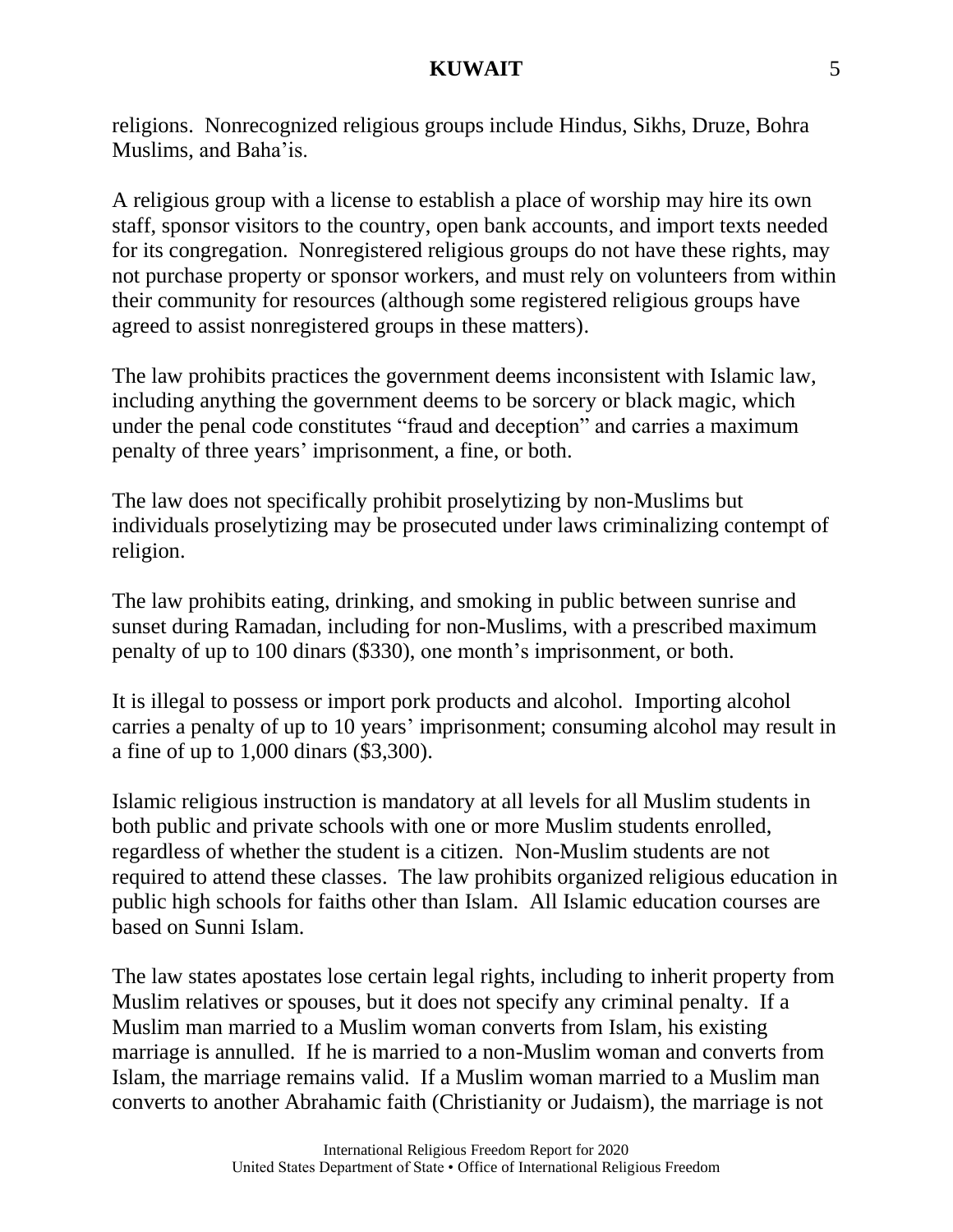religions. Nonrecognized religious groups include Hindus, Sikhs, Druze, Bohra Muslims, and Baha'is.

A religious group with a license to establish a place of worship may hire its own staff, sponsor visitors to the country, open bank accounts, and import texts needed for its congregation. Nonregistered religious groups do not have these rights, may not purchase property or sponsor workers, and must rely on volunteers from within their community for resources (although some registered religious groups have agreed to assist nonregistered groups in these matters).

The law prohibits practices the government deems inconsistent with Islamic law, including anything the government deems to be sorcery or black magic, which under the penal code constitutes "fraud and deception" and carries a maximum penalty of three years' imprisonment, a fine, or both.

The law does not specifically prohibit proselytizing by non-Muslims but individuals proselytizing may be prosecuted under laws criminalizing contempt of religion.

The law prohibits eating, drinking, and smoking in public between sunrise and sunset during Ramadan, including for non-Muslims, with a prescribed maximum penalty of up to 100 dinars (\$330), one month's imprisonment, or both.

It is illegal to possess or import pork products and alcohol. Importing alcohol carries a penalty of up to 10 years' imprisonment; consuming alcohol may result in a fine of up to 1,000 dinars (\$3,300).

Islamic religious instruction is mandatory at all levels for all Muslim students in both public and private schools with one or more Muslim students enrolled, regardless of whether the student is a citizen. Non-Muslim students are not required to attend these classes. The law prohibits organized religious education in public high schools for faiths other than Islam. All Islamic education courses are based on Sunni Islam.

The law states apostates lose certain legal rights, including to inherit property from Muslim relatives or spouses, but it does not specify any criminal penalty. If a Muslim man married to a Muslim woman converts from Islam, his existing marriage is annulled. If he is married to a non-Muslim woman and converts from Islam, the marriage remains valid. If a Muslim woman married to a Muslim man converts to another Abrahamic faith (Christianity or Judaism), the marriage is not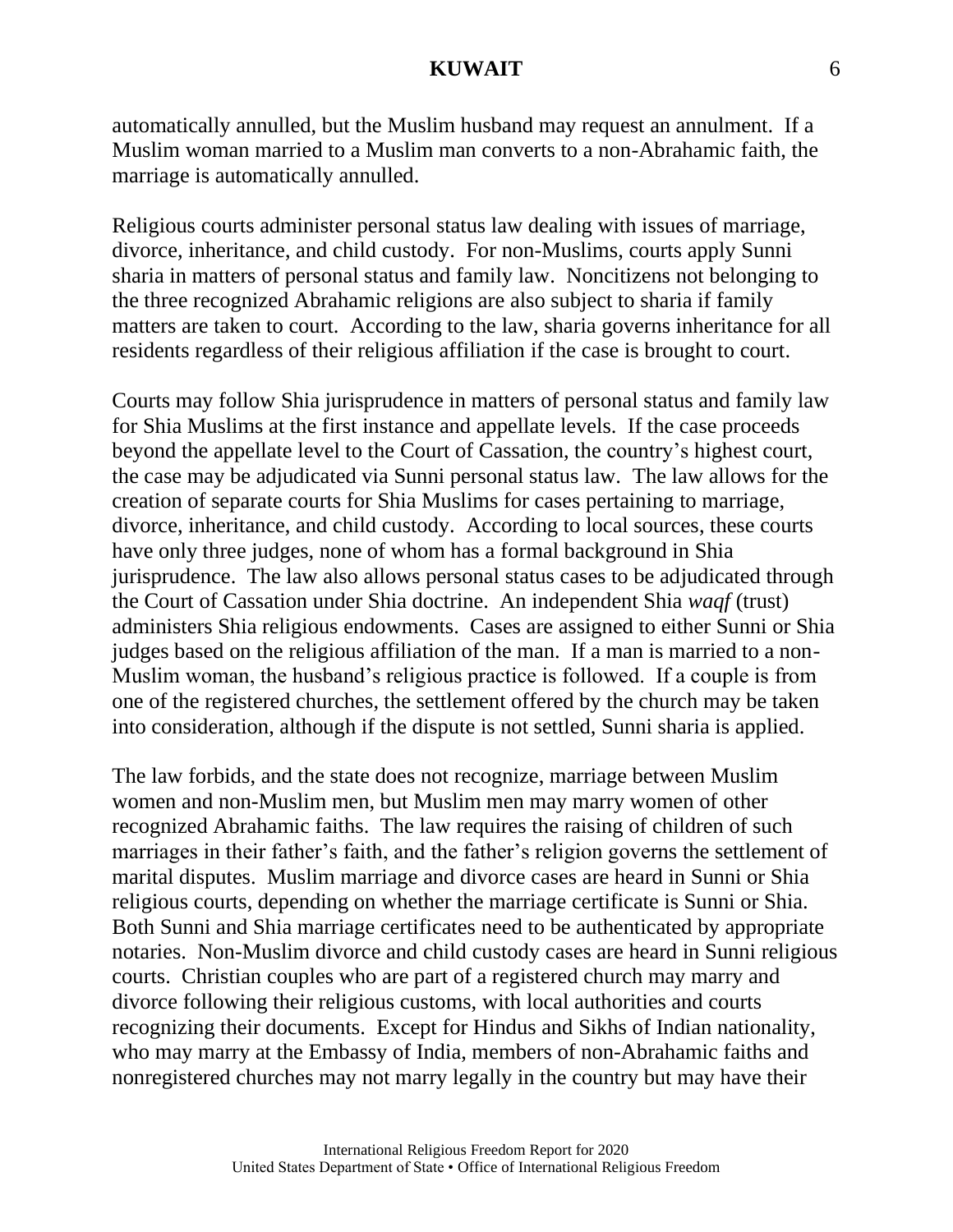automatically annulled, but the Muslim husband may request an annulment. If a Muslim woman married to a Muslim man converts to a non-Abrahamic faith, the marriage is automatically annulled.

Religious courts administer personal status law dealing with issues of marriage, divorce, inheritance, and child custody. For non-Muslims, courts apply Sunni sharia in matters of personal status and family law. Noncitizens not belonging to the three recognized Abrahamic religions are also subject to sharia if family matters are taken to court. According to the law, sharia governs inheritance for all residents regardless of their religious affiliation if the case is brought to court.

Courts may follow Shia jurisprudence in matters of personal status and family law for Shia Muslims at the first instance and appellate levels. If the case proceeds beyond the appellate level to the Court of Cassation, the country's highest court, the case may be adjudicated via Sunni personal status law. The law allows for the creation of separate courts for Shia Muslims for cases pertaining to marriage, divorce, inheritance, and child custody. According to local sources, these courts have only three judges, none of whom has a formal background in Shia jurisprudence. The law also allows personal status cases to be adjudicated through the Court of Cassation under Shia doctrine. An independent Shia *waqf* (trust) administers Shia religious endowments. Cases are assigned to either Sunni or Shia judges based on the religious affiliation of the man. If a man is married to a non-Muslim woman, the husband's religious practice is followed. If a couple is from one of the registered churches, the settlement offered by the church may be taken into consideration, although if the dispute is not settled, Sunni sharia is applied.

The law forbids, and the state does not recognize, marriage between Muslim women and non-Muslim men, but Muslim men may marry women of other recognized Abrahamic faiths. The law requires the raising of children of such marriages in their father's faith, and the father's religion governs the settlement of marital disputes. Muslim marriage and divorce cases are heard in Sunni or Shia religious courts, depending on whether the marriage certificate is Sunni or Shia. Both Sunni and Shia marriage certificates need to be authenticated by appropriate notaries. Non-Muslim divorce and child custody cases are heard in Sunni religious courts. Christian couples who are part of a registered church may marry and divorce following their religious customs, with local authorities and courts recognizing their documents. Except for Hindus and Sikhs of Indian nationality, who may marry at the Embassy of India, members of non-Abrahamic faiths and nonregistered churches may not marry legally in the country but may have their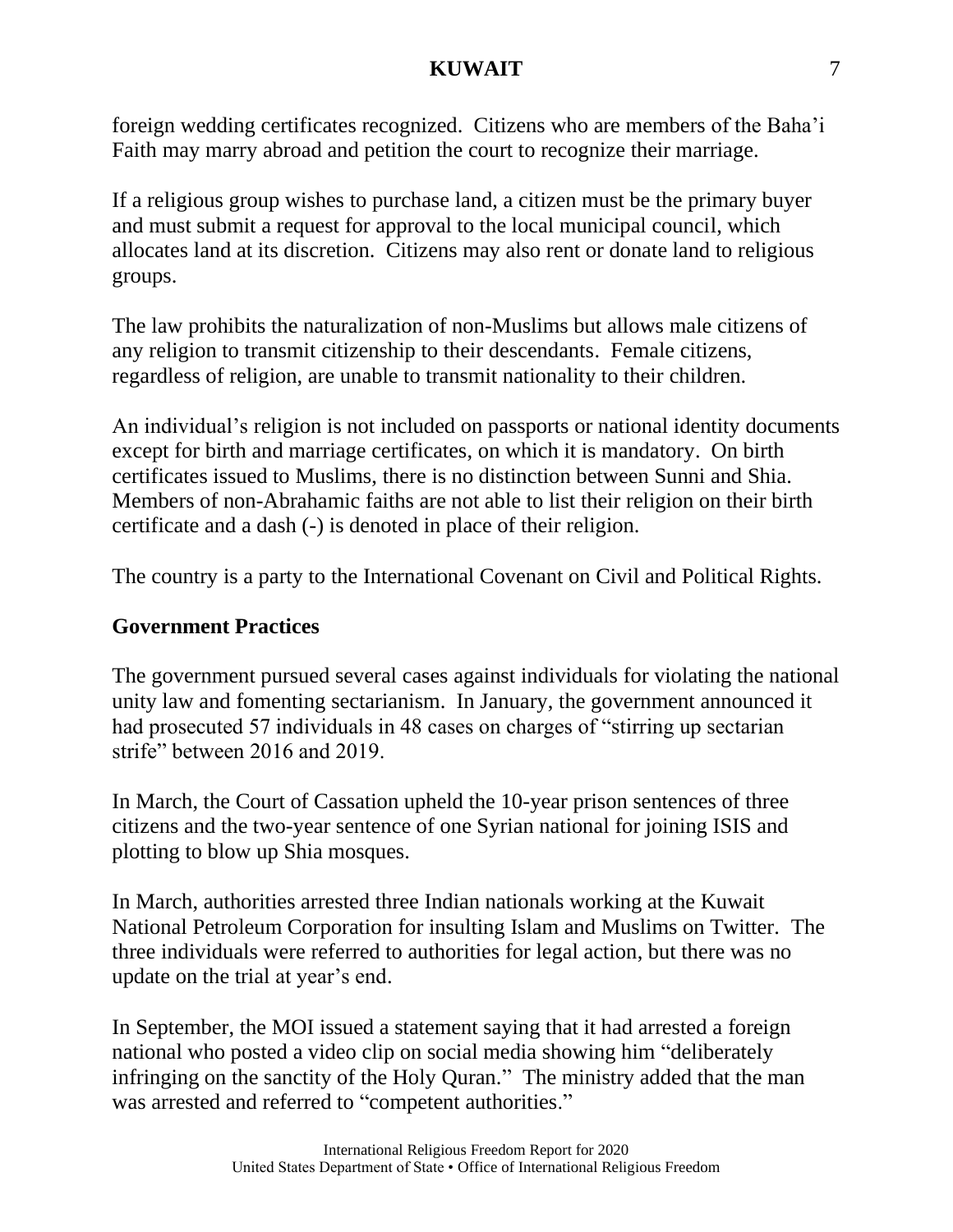foreign wedding certificates recognized. Citizens who are members of the Baha'i Faith may marry abroad and petition the court to recognize their marriage.

If a religious group wishes to purchase land, a citizen must be the primary buyer and must submit a request for approval to the local municipal council, which allocates land at its discretion. Citizens may also rent or donate land to religious groups.

The law prohibits the naturalization of non-Muslims but allows male citizens of any religion to transmit citizenship to their descendants. Female citizens, regardless of religion, are unable to transmit nationality to their children.

An individual's religion is not included on passports or national identity documents except for birth and marriage certificates, on which it is mandatory. On birth certificates issued to Muslims, there is no distinction between Sunni and Shia. Members of non-Abrahamic faiths are not able to list their religion on their birth certificate and a dash (-) is denoted in place of their religion.

The country is a party to the International Covenant on Civil and Political Rights.

# **Government Practices**

The government pursued several cases against individuals for violating the national unity law and fomenting sectarianism. In January, the government announced it had prosecuted 57 individuals in 48 cases on charges of "stirring up sectarian strife" between 2016 and 2019.

In March, the Court of Cassation upheld the 10-year prison sentences of three citizens and the two-year sentence of one Syrian national for joining ISIS and plotting to blow up Shia mosques.

In March, authorities arrested three Indian nationals working at the Kuwait National Petroleum Corporation for insulting Islam and Muslims on Twitter. The three individuals were referred to authorities for legal action, but there was no update on the trial at year's end.

In September, the MOI issued a statement saying that it had arrested a foreign national who posted a video clip on social media showing him "deliberately infringing on the sanctity of the Holy Quran." The ministry added that the man was arrested and referred to "competent authorities."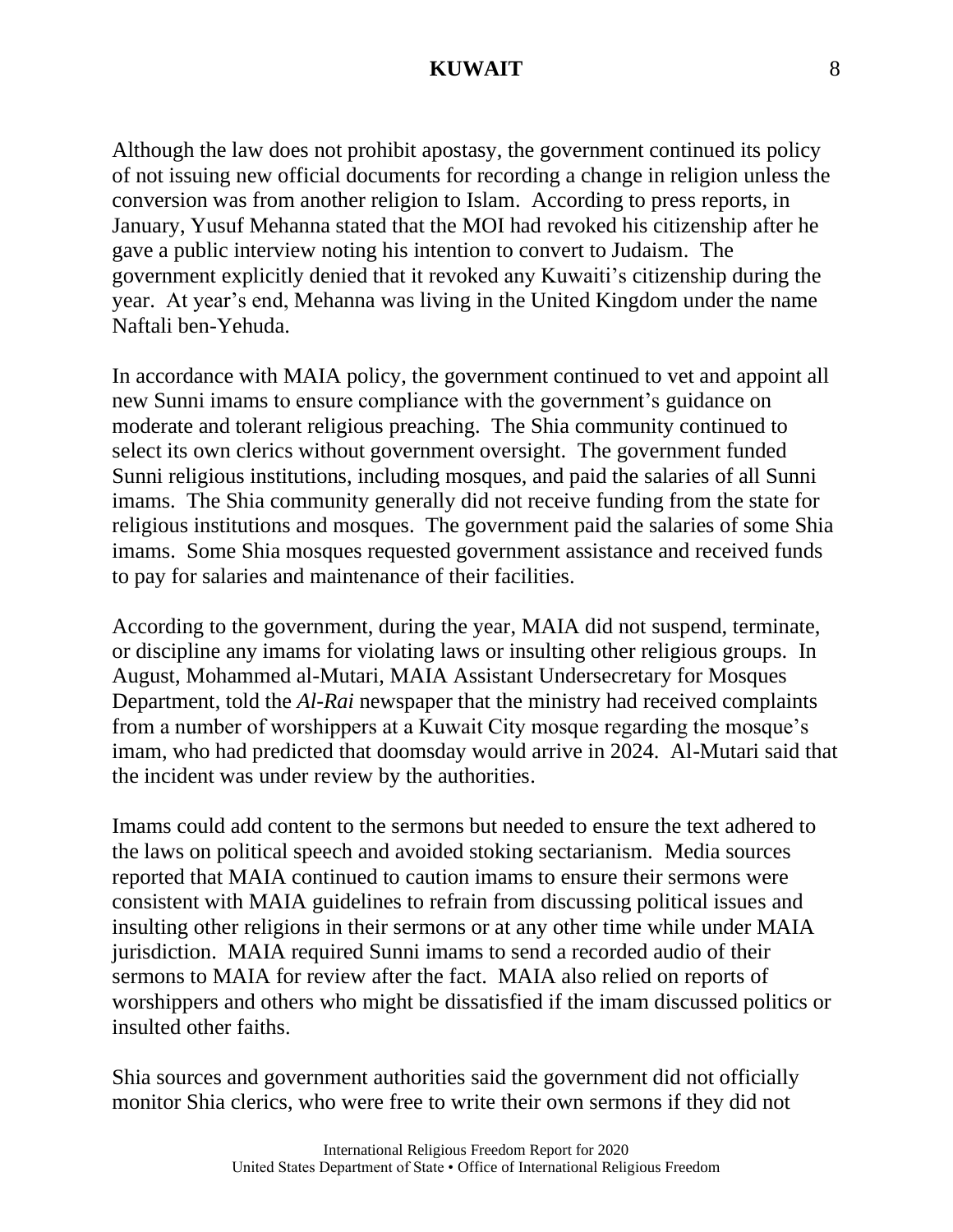Although the law does not prohibit apostasy, the government continued its policy of not issuing new official documents for recording a change in religion unless the conversion was from another religion to Islam. According to press reports, in January, Yusuf Mehanna stated that the MOI had revoked his citizenship after he gave a public interview noting his intention to convert to Judaism. The government explicitly denied that it revoked any Kuwaiti's citizenship during the year. At year's end, Mehanna was living in the United Kingdom under the name Naftali ben-Yehuda.

In accordance with MAIA policy, the government continued to vet and appoint all new Sunni imams to ensure compliance with the government's guidance on moderate and tolerant religious preaching. The Shia community continued to select its own clerics without government oversight. The government funded Sunni religious institutions, including mosques, and paid the salaries of all Sunni imams. The Shia community generally did not receive funding from the state for religious institutions and mosques. The government paid the salaries of some Shia imams. Some Shia mosques requested government assistance and received funds to pay for salaries and maintenance of their facilities.

According to the government, during the year, MAIA did not suspend, terminate, or discipline any imams for violating laws or insulting other religious groups. In August, Mohammed al-Mutari, MAIA Assistant Undersecretary for Mosques Department, told the *Al-Rai* newspaper that the ministry had received complaints from a number of worshippers at a Kuwait City mosque regarding the mosque's imam, who had predicted that doomsday would arrive in 2024. Al-Mutari said that the incident was under review by the authorities.

Imams could add content to the sermons but needed to ensure the text adhered to the laws on political speech and avoided stoking sectarianism. Media sources reported that MAIA continued to caution imams to ensure their sermons were consistent with MAIA guidelines to refrain from discussing political issues and insulting other religions in their sermons or at any other time while under MAIA jurisdiction. MAIA required Sunni imams to send a recorded audio of their sermons to MAIA for review after the fact. MAIA also relied on reports of worshippers and others who might be dissatisfied if the imam discussed politics or insulted other faiths.

Shia sources and government authorities said the government did not officially monitor Shia clerics, who were free to write their own sermons if they did not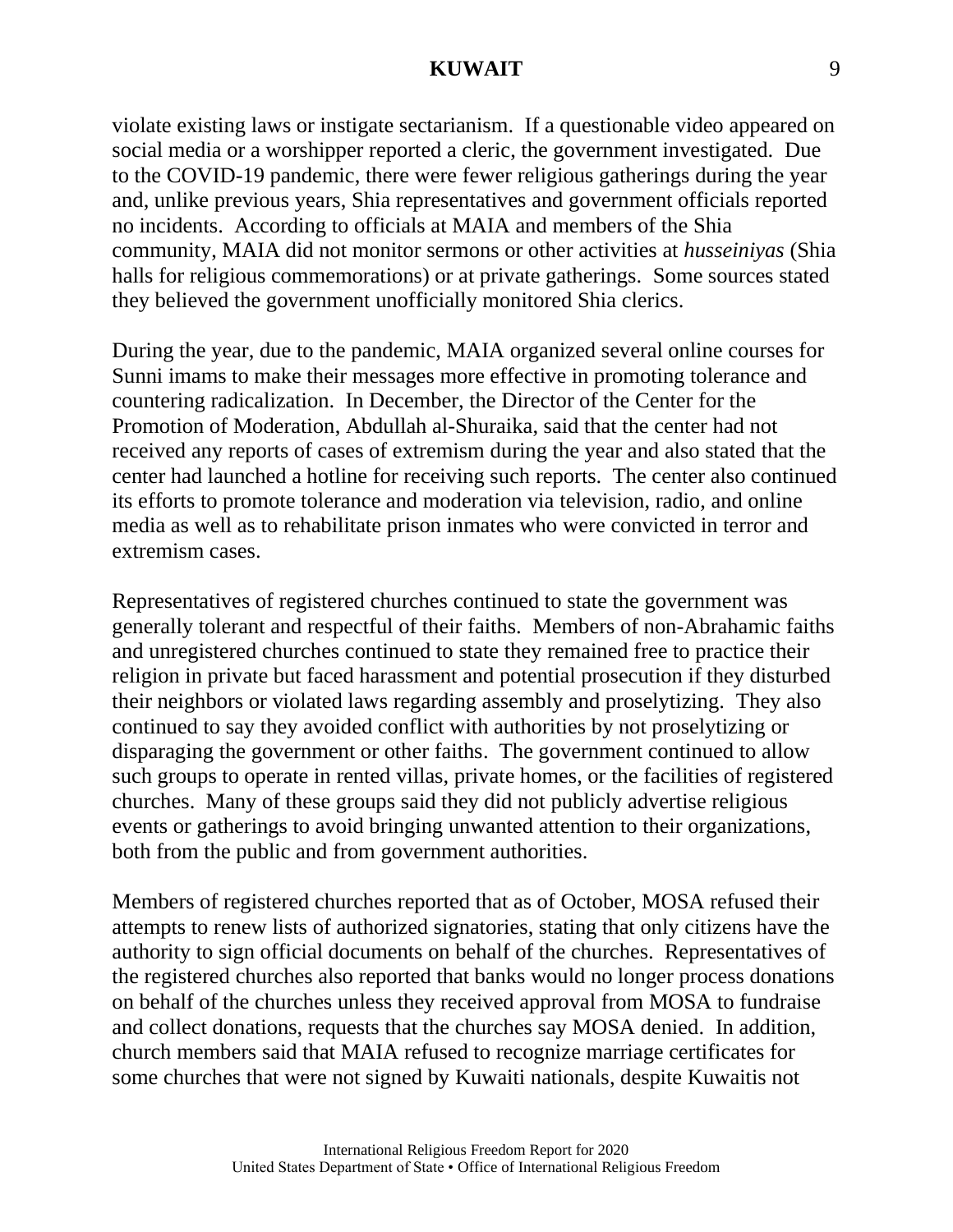violate existing laws or instigate sectarianism. If a questionable video appeared on social media or a worshipper reported a cleric, the government investigated. Due to the COVID-19 pandemic, there were fewer religious gatherings during the year and, unlike previous years, Shia representatives and government officials reported no incidents. According to officials at MAIA and members of the Shia community, MAIA did not monitor sermons or other activities at *husseiniyas* (Shia halls for religious commemorations) or at private gatherings. Some sources stated they believed the government unofficially monitored Shia clerics.

During the year, due to the pandemic, MAIA organized several online courses for Sunni imams to make their messages more effective in promoting tolerance and countering radicalization. In December, the Director of the Center for the Promotion of Moderation, Abdullah al-Shuraika, said that the center had not received any reports of cases of extremism during the year and also stated that the center had launched a hotline for receiving such reports. The center also continued its efforts to promote tolerance and moderation via television, radio, and online media as well as to rehabilitate prison inmates who were convicted in terror and extremism cases.

Representatives of registered churches continued to state the government was generally tolerant and respectful of their faiths. Members of non-Abrahamic faiths and unregistered churches continued to state they remained free to practice their religion in private but faced harassment and potential prosecution if they disturbed their neighbors or violated laws regarding assembly and proselytizing. They also continued to say they avoided conflict with authorities by not proselytizing or disparaging the government or other faiths. The government continued to allow such groups to operate in rented villas, private homes, or the facilities of registered churches. Many of these groups said they did not publicly advertise religious events or gatherings to avoid bringing unwanted attention to their organizations, both from the public and from government authorities.

Members of registered churches reported that as of October, MOSA refused their attempts to renew lists of authorized signatories, stating that only citizens have the authority to sign official documents on behalf of the churches. Representatives of the registered churches also reported that banks would no longer process donations on behalf of the churches unless they received approval from MOSA to fundraise and collect donations, requests that the churches say MOSA denied. In addition, church members said that MAIA refused to recognize marriage certificates for some churches that were not signed by Kuwaiti nationals, despite Kuwaitis not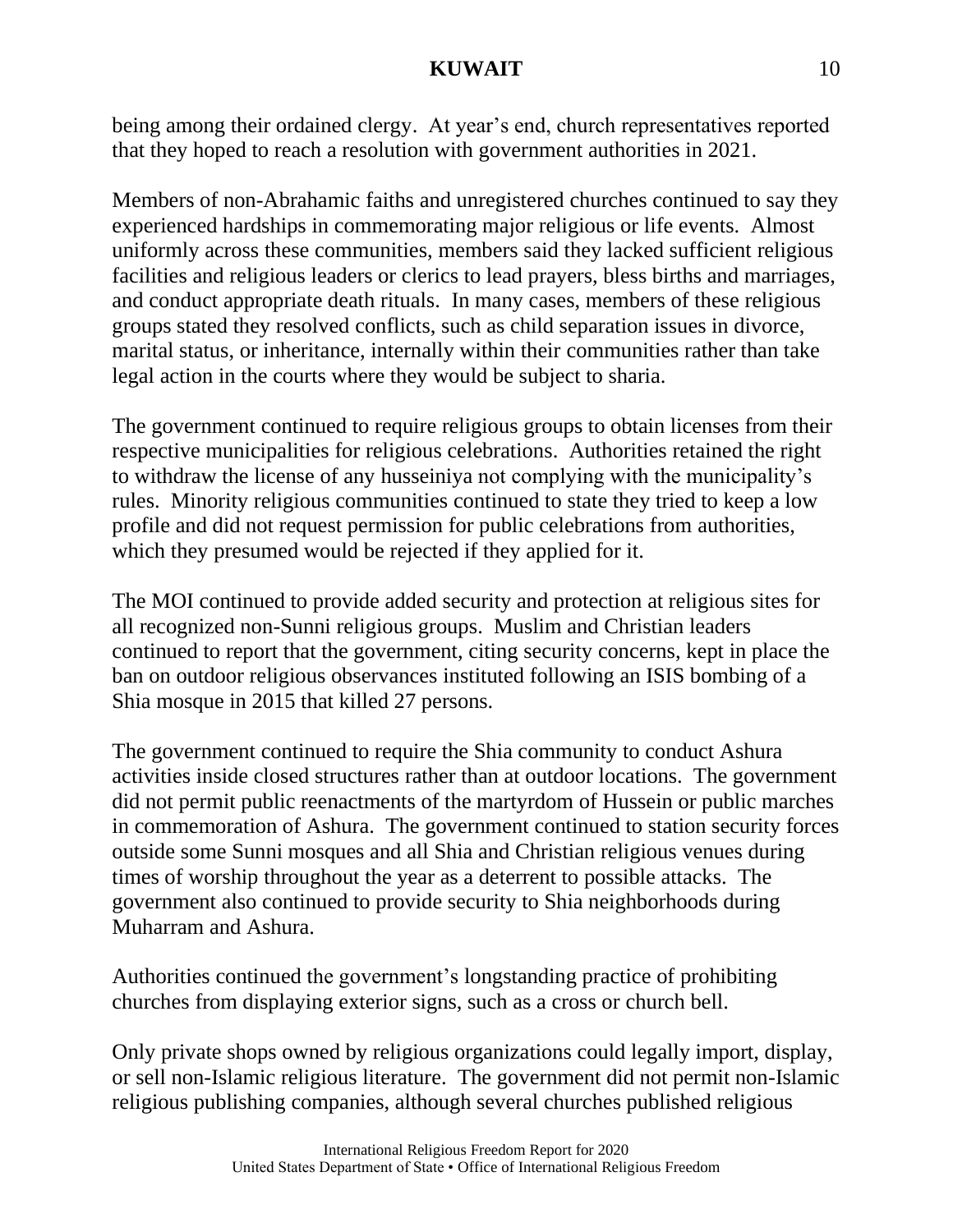being among their ordained clergy. At year's end, church representatives reported that they hoped to reach a resolution with government authorities in 2021.

Members of non-Abrahamic faiths and unregistered churches continued to say they experienced hardships in commemorating major religious or life events. Almost uniformly across these communities, members said they lacked sufficient religious facilities and religious leaders or clerics to lead prayers, bless births and marriages, and conduct appropriate death rituals. In many cases, members of these religious groups stated they resolved conflicts, such as child separation issues in divorce, marital status, or inheritance, internally within their communities rather than take legal action in the courts where they would be subject to sharia.

The government continued to require religious groups to obtain licenses from their respective municipalities for religious celebrations. Authorities retained the right to withdraw the license of any husseiniya not complying with the municipality's rules. Minority religious communities continued to state they tried to keep a low profile and did not request permission for public celebrations from authorities, which they presumed would be rejected if they applied for it.

The MOI continued to provide added security and protection at religious sites for all recognized non-Sunni religious groups. Muslim and Christian leaders continued to report that the government, citing security concerns, kept in place the ban on outdoor religious observances instituted following an ISIS bombing of a Shia mosque in 2015 that killed 27 persons.

The government continued to require the Shia community to conduct Ashura activities inside closed structures rather than at outdoor locations. The government did not permit public reenactments of the martyrdom of Hussein or public marches in commemoration of Ashura. The government continued to station security forces outside some Sunni mosques and all Shia and Christian religious venues during times of worship throughout the year as a deterrent to possible attacks. The government also continued to provide security to Shia neighborhoods during Muharram and Ashura.

Authorities continued the government's longstanding practice of prohibiting churches from displaying exterior signs, such as a cross or church bell.

Only private shops owned by religious organizations could legally import, display, or sell non-Islamic religious literature. The government did not permit non-Islamic religious publishing companies, although several churches published religious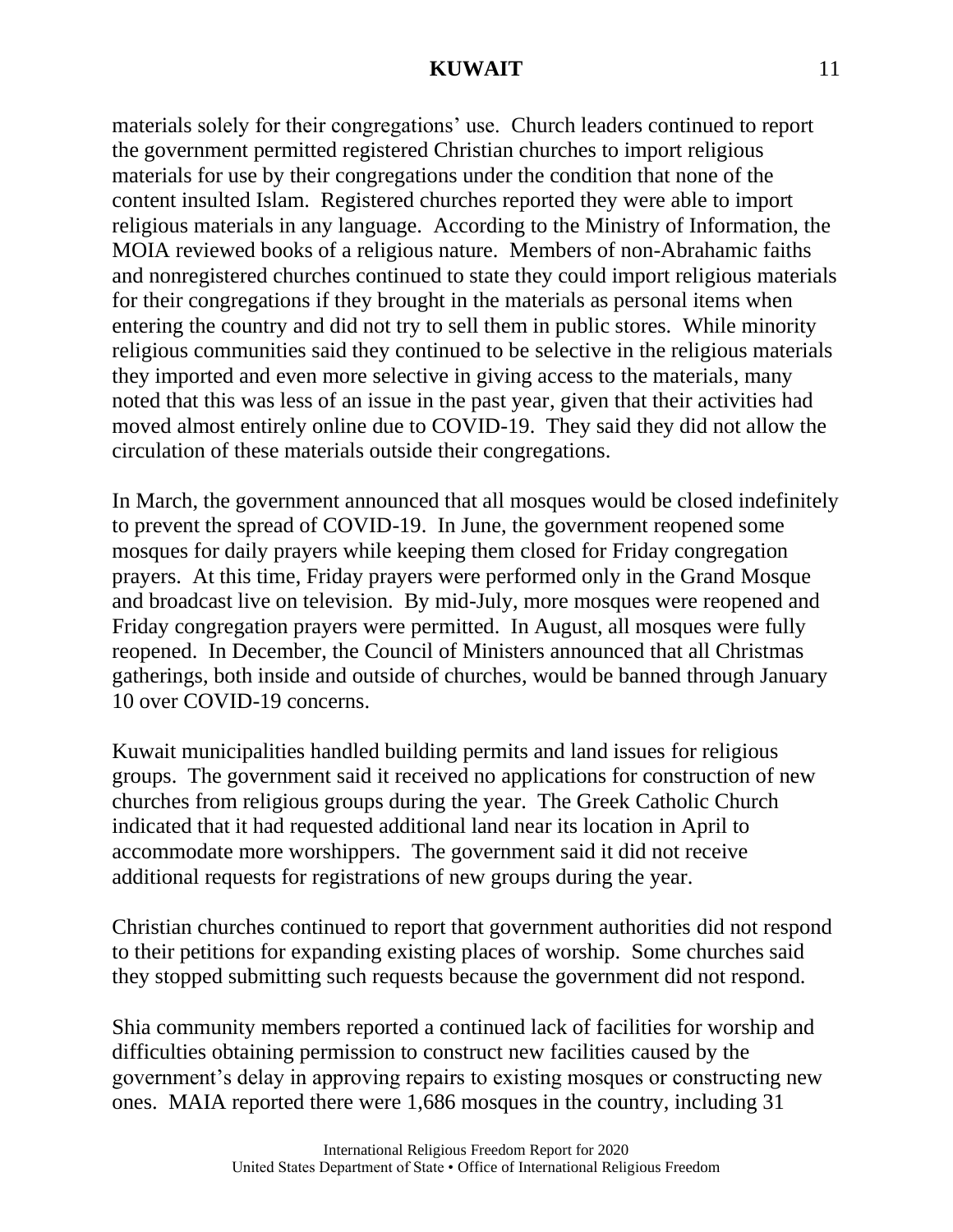materials solely for their congregations' use. Church leaders continued to report the government permitted registered Christian churches to import religious materials for use by their congregations under the condition that none of the content insulted Islam. Registered churches reported they were able to import religious materials in any language. According to the Ministry of Information, the MOIA reviewed books of a religious nature. Members of non-Abrahamic faiths and nonregistered churches continued to state they could import religious materials for their congregations if they brought in the materials as personal items when entering the country and did not try to sell them in public stores. While minority religious communities said they continued to be selective in the religious materials they imported and even more selective in giving access to the materials, many noted that this was less of an issue in the past year, given that their activities had moved almost entirely online due to COVID-19. They said they did not allow the circulation of these materials outside their congregations.

In March, the government announced that all mosques would be closed indefinitely to prevent the spread of COVID-19. In June, the government reopened some mosques for daily prayers while keeping them closed for Friday congregation prayers. At this time, Friday prayers were performed only in the Grand Mosque and broadcast live on television. By mid-July, more mosques were reopened and Friday congregation prayers were permitted. In August, all mosques were fully reopened. In December, the Council of Ministers announced that all Christmas gatherings, both inside and outside of churches, would be banned through January 10 over COVID-19 concerns.

Kuwait municipalities handled building permits and land issues for religious groups. The government said it received no applications for construction of new churches from religious groups during the year. The Greek Catholic Church indicated that it had requested additional land near its location in April to accommodate more worshippers. The government said it did not receive additional requests for registrations of new groups during the year.

Christian churches continued to report that government authorities did not respond to their petitions for expanding existing places of worship. Some churches said they stopped submitting such requests because the government did not respond.

Shia community members reported a continued lack of facilities for worship and difficulties obtaining permission to construct new facilities caused by the government's delay in approving repairs to existing mosques or constructing new ones. MAIA reported there were 1,686 mosques in the country, including 31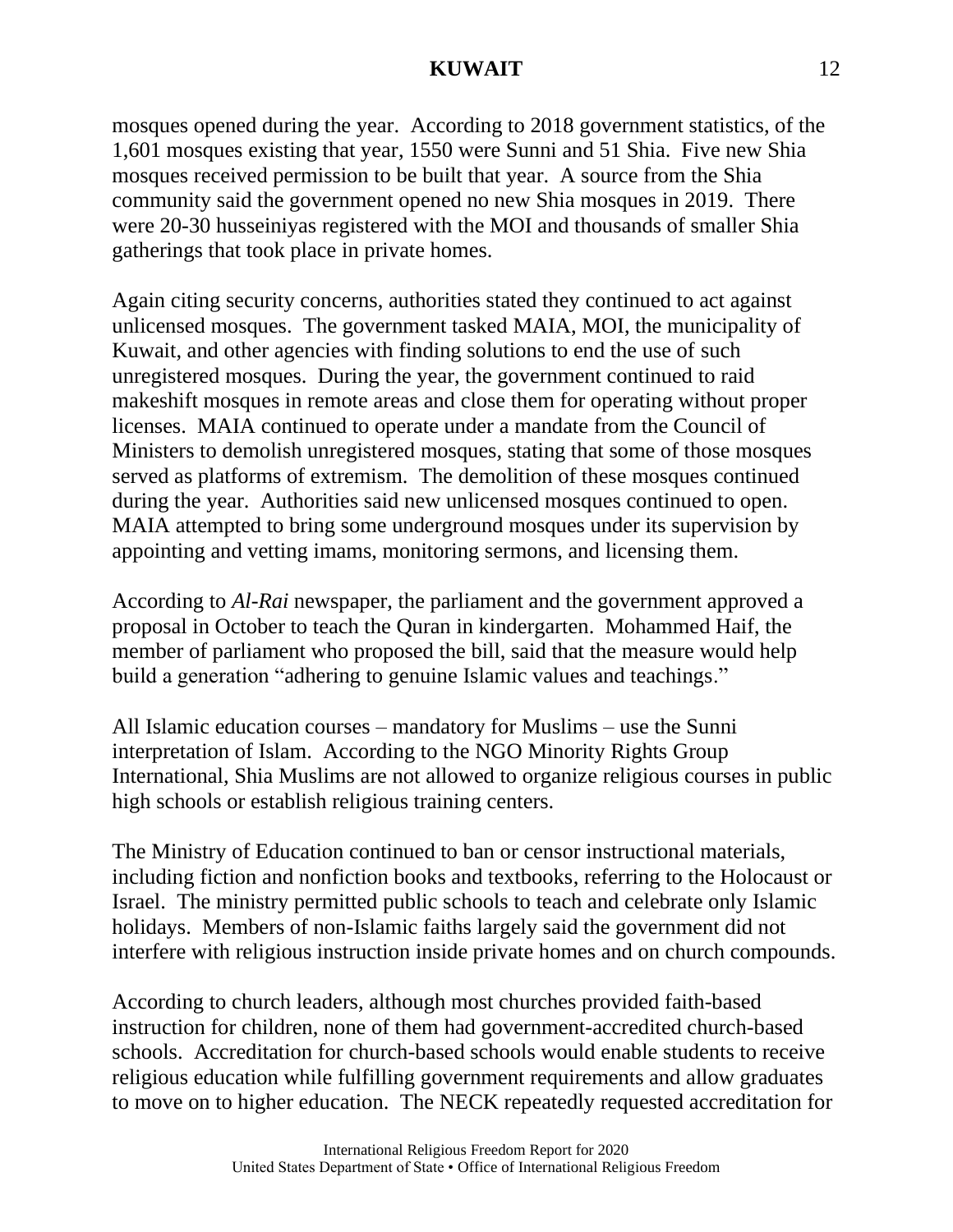mosques opened during the year. According to 2018 government statistics, of the 1,601 mosques existing that year, 1550 were Sunni and 51 Shia. Five new Shia mosques received permission to be built that year. A source from the Shia community said the government opened no new Shia mosques in 2019. There were 20-30 husseiniyas registered with the MOI and thousands of smaller Shia gatherings that took place in private homes.

Again citing security concerns, authorities stated they continued to act against unlicensed mosques. The government tasked MAIA, MOI, the municipality of Kuwait, and other agencies with finding solutions to end the use of such unregistered mosques. During the year, the government continued to raid makeshift mosques in remote areas and close them for operating without proper licenses. MAIA continued to operate under a mandate from the Council of Ministers to demolish unregistered mosques, stating that some of those mosques served as platforms of extremism. The demolition of these mosques continued during the year. Authorities said new unlicensed mosques continued to open. MAIA attempted to bring some underground mosques under its supervision by appointing and vetting imams, monitoring sermons, and licensing them.

According to *Al-Rai* newspaper, the parliament and the government approved a proposal in October to teach the Quran in kindergarten. Mohammed Haif, the member of parliament who proposed the bill, said that the measure would help build a generation "adhering to genuine Islamic values and teachings."

All Islamic education courses – mandatory for Muslims – use the Sunni interpretation of Islam. According to the NGO Minority Rights Group International, Shia Muslims are not allowed to organize religious courses in public high schools or establish religious training centers.

The Ministry of Education continued to ban or censor instructional materials, including fiction and nonfiction books and textbooks, referring to the Holocaust or Israel. The ministry permitted public schools to teach and celebrate only Islamic holidays. Members of non-Islamic faiths largely said the government did not interfere with religious instruction inside private homes and on church compounds.

According to church leaders, although most churches provided faith-based instruction for children, none of them had government-accredited church-based schools. Accreditation for church-based schools would enable students to receive religious education while fulfilling government requirements and allow graduates to move on to higher education. The NECK repeatedly requested accreditation for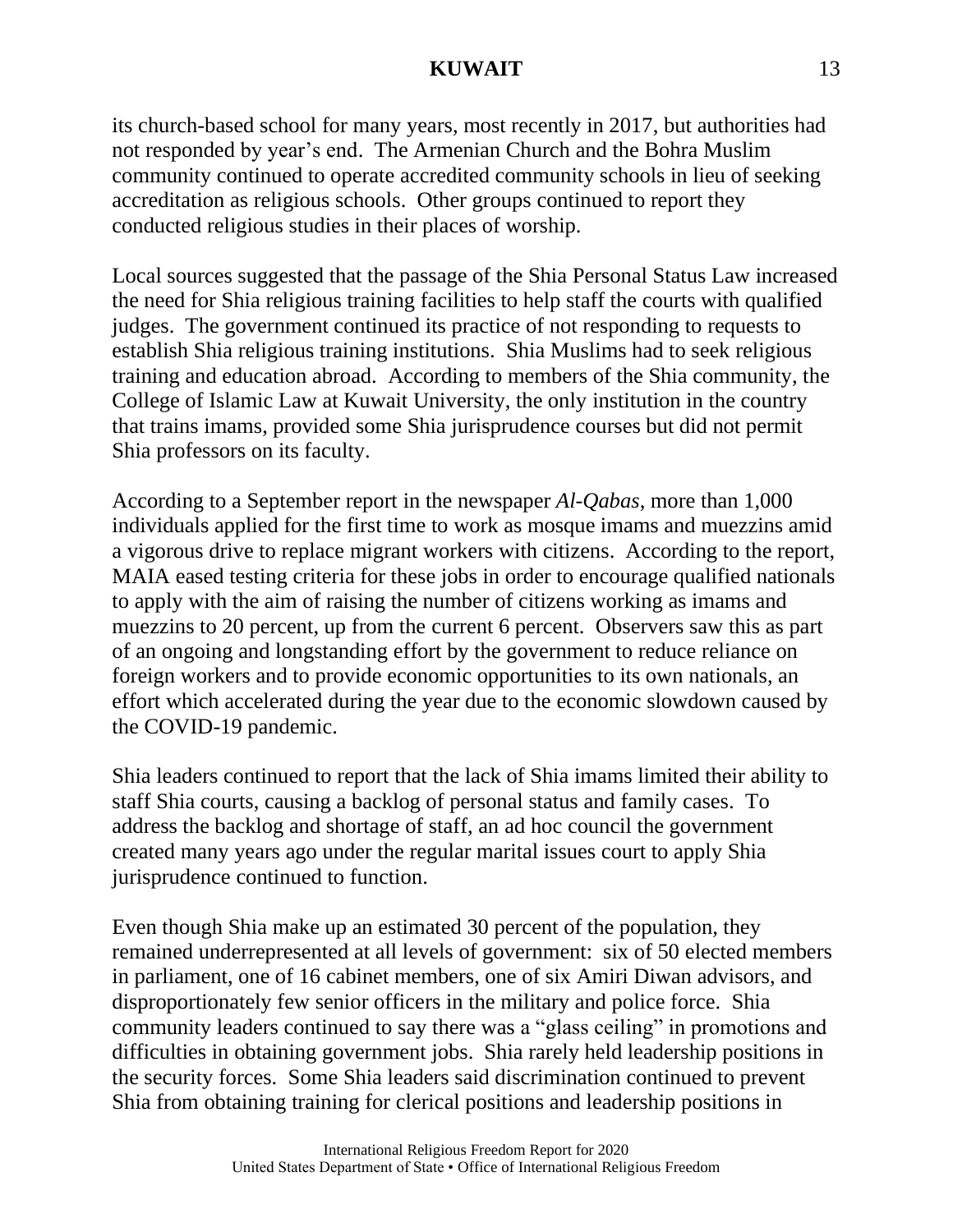its church-based school for many years, most recently in 2017, but authorities had not responded by year's end. The Armenian Church and the Bohra Muslim community continued to operate accredited community schools in lieu of seeking accreditation as religious schools. Other groups continued to report they conducted religious studies in their places of worship.

Local sources suggested that the passage of the Shia Personal Status Law increased the need for Shia religious training facilities to help staff the courts with qualified judges. The government continued its practice of not responding to requests to establish Shia religious training institutions. Shia Muslims had to seek religious training and education abroad. According to members of the Shia community, the College of Islamic Law at Kuwait University, the only institution in the country that trains imams, provided some Shia jurisprudence courses but did not permit Shia professors on its faculty.

According to a September report in the newspaper *Al-Qabas*, more than 1,000 individuals applied for the first time to work as mosque imams and muezzins amid a vigorous drive to replace migrant workers with citizens. According to the report, MAIA eased testing criteria for these jobs in order to encourage qualified nationals to apply with the aim of raising the number of citizens working as imams and muezzins to 20 percent, up from the current 6 percent. Observers saw this as part of an ongoing and longstanding effort by the government to reduce reliance on foreign workers and to provide economic opportunities to its own nationals, an effort which accelerated during the year due to the economic slowdown caused by the COVID-19 pandemic.

Shia leaders continued to report that the lack of Shia imams limited their ability to staff Shia courts, causing a backlog of personal status and family cases. To address the backlog and shortage of staff, an ad hoc council the government created many years ago under the regular marital issues court to apply Shia jurisprudence continued to function.

Even though Shia make up an estimated 30 percent of the population, they remained underrepresented at all levels of government: six of 50 elected members in parliament, one of 16 cabinet members, one of six Amiri Diwan advisors, and disproportionately few senior officers in the military and police force. Shia community leaders continued to say there was a "glass ceiling" in promotions and difficulties in obtaining government jobs. Shia rarely held leadership positions in the security forces. Some Shia leaders said discrimination continued to prevent Shia from obtaining training for clerical positions and leadership positions in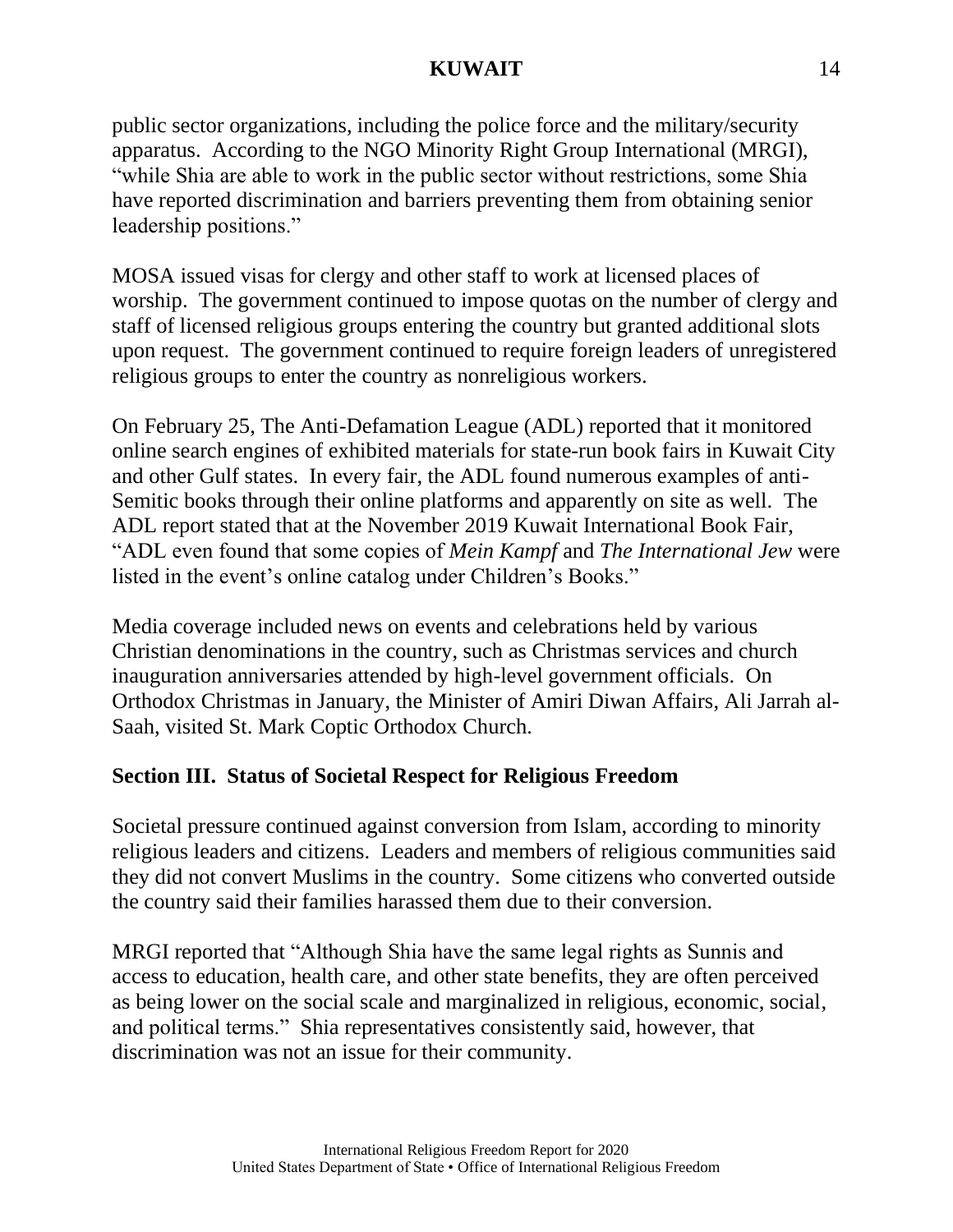public sector organizations, including the police force and the military/security apparatus. According to the NGO Minority Right Group International (MRGI), "while Shia are able to work in the public sector without restrictions, some Shia have reported discrimination and barriers preventing them from obtaining senior leadership positions."

MOSA issued visas for clergy and other staff to work at licensed places of worship. The government continued to impose quotas on the number of clergy and staff of licensed religious groups entering the country but granted additional slots upon request. The government continued to require foreign leaders of unregistered religious groups to enter the country as nonreligious workers.

On February 25, The Anti-Defamation League (ADL) reported that it monitored online search engines of exhibited materials for state-run book fairs in Kuwait City and other Gulf states. In every fair, the ADL found numerous examples of anti-Semitic books through their online platforms and apparently on site as well. The ADL report stated that at the November 2019 Kuwait International Book Fair, "ADL even found that some copies of *Mein Kampf* and *The International Jew* were listed in the event's online catalog under Children's Books."

Media coverage included news on events and celebrations held by various Christian denominations in the country, such as Christmas services and church inauguration anniversaries attended by high-level government officials. On Orthodox Christmas in January, the Minister of Amiri Diwan Affairs, Ali Jarrah al-Saah, visited St. Mark Coptic Orthodox Church.

# **Section III. Status of Societal Respect for Religious Freedom**

Societal pressure continued against conversion from Islam, according to minority religious leaders and citizens. Leaders and members of religious communities said they did not convert Muslims in the country. Some citizens who converted outside the country said their families harassed them due to their conversion.

MRGI reported that "Although Shia have the same legal rights as Sunnis and access to education, health care, and other state benefits, they are often perceived as being lower on the social scale and marginalized in religious, economic, social, and political terms." Shia representatives consistently said, however, that discrimination was not an issue for their community.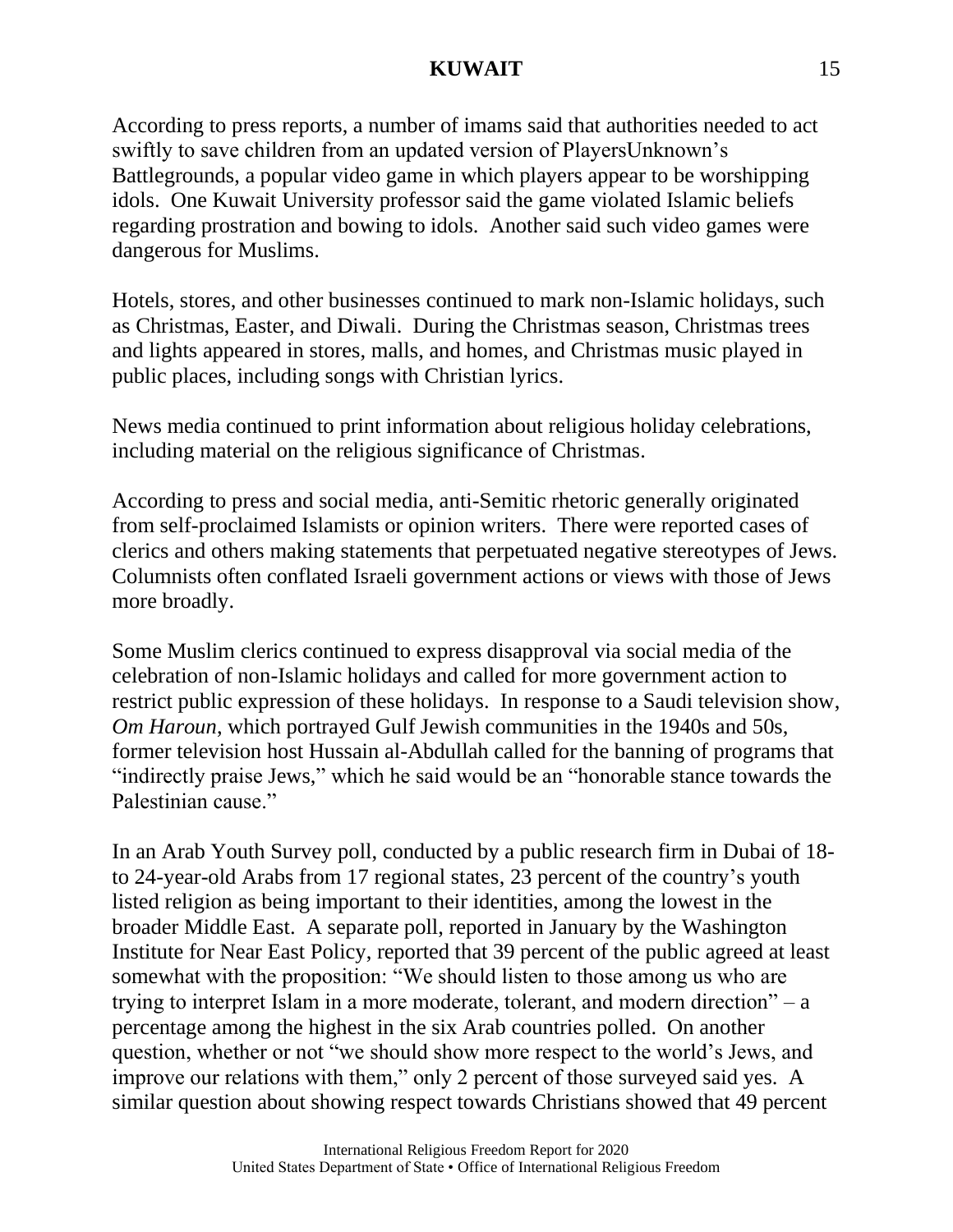According to press reports, a number of imams said that authorities needed to act swiftly to save children from an updated version of PlayersUnknown's Battlegrounds, a popular video game in which players appear to be worshipping idols. One Kuwait University professor said the game violated Islamic beliefs regarding prostration and bowing to idols. Another said such video games were dangerous for Muslims.

Hotels, stores, and other businesses continued to mark non-Islamic holidays, such as Christmas, Easter, and Diwali. During the Christmas season, Christmas trees and lights appeared in stores, malls, and homes, and Christmas music played in public places, including songs with Christian lyrics.

News media continued to print information about religious holiday celebrations, including material on the religious significance of Christmas.

According to press and social media, anti-Semitic rhetoric generally originated from self-proclaimed Islamists or opinion writers. There were reported cases of clerics and others making statements that perpetuated negative stereotypes of Jews. Columnists often conflated Israeli government actions or views with those of Jews more broadly.

Some Muslim clerics continued to express disapproval via social media of the celebration of non-Islamic holidays and called for more government action to restrict public expression of these holidays. In response to a Saudi television show, *Om Haroun*, which portrayed Gulf Jewish communities in the 1940s and 50s, former television host Hussain al-Abdullah called for the banning of programs that "indirectly praise Jews," which he said would be an "honorable stance towards the Palestinian cause."

In an Arab Youth Survey poll, conducted by a public research firm in Dubai of 18 to 24-year-old Arabs from 17 regional states, 23 percent of the country's youth listed religion as being important to their identities, among the lowest in the broader Middle East. A separate poll, reported in January by the Washington Institute for Near East Policy, reported that 39 percent of the public agreed at least somewhat with the proposition: "We should listen to those among us who are trying to interpret Islam in a more moderate, tolerant, and modern direction" – a percentage among the highest in the six Arab countries polled. On another question, whether or not "we should show more respect to the world's Jews, and improve our relations with them," only 2 percent of those surveyed said yes. A similar question about showing respect towards Christians showed that 49 percent